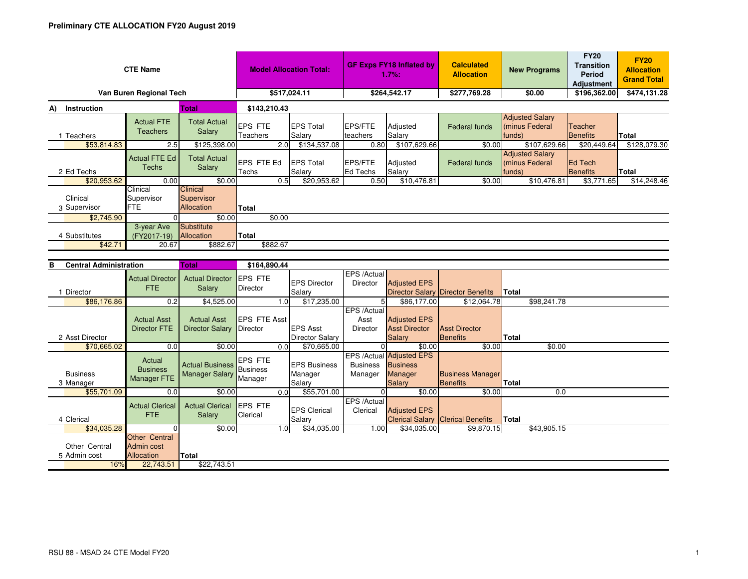| <b>CTE Name</b><br>Van Buren Regional Tech | <b>Model Allocation Total:</b><br>\$517,024.11  |                                                 | <b>GF Exps FY18 Inflated by</b><br>1.7%:<br>\$264,542.17 |                                           | <b>Calculated</b><br><b>Allocation</b><br>\$277,769.28 |                                                                         | <b>New Programs</b><br>\$0.00                    | <b>FY20</b><br><b>Transition</b><br>Period<br><b>Adjustment</b><br>\$196,362.00 | <b>FY20</b><br><b>Allocation</b><br><b>Grand Total</b><br>\$474,131.28 |                     |              |
|--------------------------------------------|-------------------------------------------------|-------------------------------------------------|----------------------------------------------------------|-------------------------------------------|--------------------------------------------------------|-------------------------------------------------------------------------|--------------------------------------------------|---------------------------------------------------------------------------------|------------------------------------------------------------------------|---------------------|--------------|
|                                            |                                                 |                                                 |                                                          |                                           |                                                        |                                                                         |                                                  |                                                                                 |                                                                        |                     |              |
| Instruction<br>A)                          |                                                 | <b>Total</b>                                    | \$143,210.43                                             |                                           |                                                        |                                                                         |                                                  | <b>Adjusted Salary</b>                                                          |                                                                        |                     |              |
| 1 Teachers                                 | <b>Actual FTE</b><br><b>Teachers</b>            | <b>Total Actual</b><br>Salary                   | <b>EPS FTE</b><br>Teachers                               | <b>EPS Total</b><br>Salary                | <b>EPS/FTE</b><br>teachers                             | Adjusted<br>Salary                                                      | <b>Federal funds</b>                             | (minus Federal<br>funds)                                                        |                                                                        | Teacher<br>Benefits | <b>Total</b> |
| \$53,814.83                                | 2.5                                             | \$125,398.00                                    | 2.0                                                      | \$134,537.08                              | 0.80                                                   | \$107,629.66                                                            | \$0.00                                           |                                                                                 | \$107.629.66                                                           | \$20.449.64         | \$128,079.30 |
| 2 Ed Techs                                 | <b>Actual FTE Ed</b><br>Techs                   | <b>Total Actual</b><br>Salary                   | EPS FTE Ed<br>Techs                                      | <b>EPS Total</b><br>Salarv                | <b>EPS/FTE</b><br><b>Ed Techs</b>                      | Adjusted<br>Salarv                                                      | Federal funds                                    | <b>Adjusted Salary</b><br>(minus Federal<br>funds)                              |                                                                        | Ed Tech<br>Benefits | <b>Total</b> |
| \$20,953.62                                | 0.00                                            | \$0.00                                          | 0.5                                                      | \$20,953.62                               | 0.50                                                   | \$10,476.81                                                             | \$0.00                                           |                                                                                 | \$10,476.81                                                            | \$3,771.65          | \$14,248.46  |
| Clinical<br>3 Supervisor                   | Clinical<br>Supervisor<br><b>FTE</b>            | <b>Clinical</b><br>Supervisor<br>Allocation     | Total                                                    |                                           |                                                        |                                                                         |                                                  |                                                                                 |                                                                        |                     |              |
| \$2,745.90                                 | $\Omega$                                        | \$0.00                                          | \$0.00                                                   |                                           |                                                        |                                                                         |                                                  |                                                                                 |                                                                        |                     |              |
| 4 Substitutes                              | 3-year Ave<br>(FY2017-19)<br>20.67              | <b>Substitute</b><br>Allocation                 | Total                                                    |                                           |                                                        |                                                                         |                                                  |                                                                                 |                                                                        |                     |              |
| \$42.71                                    | \$882.67                                        | \$882.67                                        |                                                          |                                           |                                                        |                                                                         |                                                  |                                                                                 |                                                                        |                     |              |
|                                            |                                                 |                                                 |                                                          |                                           |                                                        |                                                                         |                                                  |                                                                                 |                                                                        |                     |              |
| <b>Central Administration</b><br>в         |                                                 | <b>Total</b>                                    | \$164,890.44                                             |                                           |                                                        |                                                                         |                                                  |                                                                                 |                                                                        |                     |              |
|                                            | <b>Actual Director</b><br>FTE.                  | <b>Actual Director</b><br>Salary                | <b>EPS FTE</b><br><b>Director</b>                        | <b>EPS Director</b>                       | EPS /Actual<br>Director                                | <b>Adjusted EPS</b>                                                     |                                                  |                                                                                 |                                                                        |                     |              |
| 1 Director<br>\$86,176.86                  | 0.2                                             | \$4,525.00                                      | 1.0 <sub>l</sub>                                         | Salary<br>\$17,235.00                     | 5 <sup>1</sup>                                         | \$86,177.00                                                             | Director Salary Director Benefits<br>\$12,064.78 | <b>Total</b>                                                                    | \$98,241.78                                                            |                     |              |
|                                            |                                                 |                                                 |                                                          |                                           | EPS /Actual                                            |                                                                         |                                                  |                                                                                 |                                                                        |                     |              |
| 2 Asst Director                            | <b>Actual Asst</b><br><b>Director FTE</b>       | <b>Actual Asst</b><br><b>Director Salary</b>    | <b>EPS FTE Asst</b><br>Director                          | <b>EPS Asst</b><br><b>Director Salary</b> | Asst<br><b>Director</b>                                | <b>Adjusted EPS</b><br><b>Asst Director</b><br>Salary                   | <b>Asst Director</b><br><b>Benefits</b>          | Total                                                                           |                                                                        |                     |              |
| \$70,665.02                                |                                                 |                                                 |                                                          |                                           |                                                        |                                                                         |                                                  |                                                                                 |                                                                        |                     |              |
|                                            | 0.0                                             | \$0.00                                          | 0.0 <sub>l</sub>                                         | \$70,665.00                               | $\Omega$                                               | \$0.00                                                                  | \$0.00                                           |                                                                                 | \$0.00                                                                 |                     |              |
| <b>Business</b><br>3 Manager               | Actual<br><b>Business</b><br><b>Manager FTE</b> | <b>Actual Business</b><br><b>Manager Salary</b> | <b>EPS FTE</b><br><b>Business</b><br>Manager             | <b>EPS Business</b><br>Manager<br>Salary  | <b>Business</b><br>Manager                             | EPS /Actual Adjusted EPS<br><b>Business</b><br>Manager<br><b>Salary</b> | <b>Business Manager</b><br><b>Benefits</b>       | <b>Total</b>                                                                    |                                                                        |                     |              |
| \$55,701.09                                | 0.0                                             | \$0.00                                          | 0.0                                                      | \$55,701.00                               | $\Omega$                                               | \$0.00                                                                  | \$0.00                                           |                                                                                 | 0.0                                                                    |                     |              |
| 4 Clerical                                 | <b>Actual Clerical</b><br><b>FTE</b>            | <b>Actual Clerical</b><br>Salary                | <b>EPS FTE</b><br>Clerical                               | <b>EPS Clerical</b><br>Salary             | EPS /Actual<br>Clerical                                | <b>Adjusted EPS</b>                                                     | <b>Clerical Salary Clerical Benefits</b>         | Total                                                                           |                                                                        |                     |              |
| \$34,035.28                                | $\Omega$<br>Other Central                       | \$0.00                                          | 1.0                                                      | \$34,035.00                               | 1.00                                                   | \$34,035.00                                                             | \$9,870.15                                       |                                                                                 | \$43,905.15                                                            |                     |              |

16%

Allocation

**<u>cation</u>** Total<br>22,743.51

22,743.51 \$22,743.51

5Admin cost